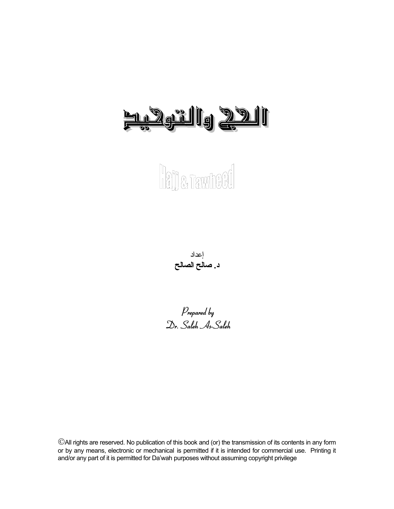# <u>n. Dgrillg 2911</u>

# **Let a Tawheed**

إعداد **د. صالح الصالح** 

*Prepared by Dr. Saleh As-Saleh* 

All rights are reserved. No publication of this book and (or) the transmission of its contents in any form or by any means, electronic or mechanical is permitted if it is intended for commercial use. Printing it and/or any part of it is permitted for Da'wah purposes without assuming copyright privilege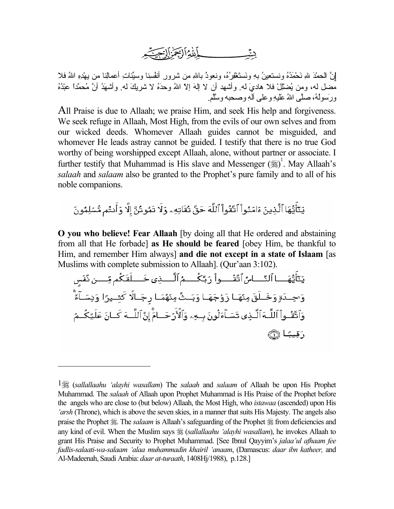

نَّ الحمْدَ للهِ نَحْمَدُهُ ونستعينُ بهِ ونَستَغْفِرُهُ، ونعوذُ باللهِ من شرورِ أنفُسِنا وسبِّئاتِ أعمالِنا من بهْدِهِ اللهُ فلا مضل له، ومن يُضْلِّلْ فلا هاديَ له. وأشهد أن لا إلهَ إلاّ اللهُ وحدَهُ لا شريكَ له. وأشهَدُ أنَّ مُحمَّدًا عبْدُهُ ورَسولُه،ُ صلَّى االلهُ َعَليهِ وعلى آلهِ وصحبه وسَّلَّم.

All Praise is due to Allaah; we praise Him, and seek His help and forgiveness. We seek refuge in Allaah, Most High, from the evils of our own selves and from our wicked deeds. Whomever Allaah guides cannot be misguided, and whomever He leads astray cannot be guided. I testify that there is no true God worthy of being worshipped except Allaah, alone, without partner or associate. I further testify that Muhammad is His slave and Messenger (ﷺ)<sup>1</sup>[.](#page-1-0) May Allaah's *salaah* and *salaam* also be granted to the Prophet's pure family and to all of his noble companions.

يَتَأَيُّهَا ٱلَّذِينَ ءَامَنُواْ ٱتَّقُواْ ٱللَّهَ حَقَّ تُقَاتِهِۦ وَلَا تَمُوتُنَّ إِلَّا وَأَنتُم مُّسْلِمُونَ

**O you who believe! Fear Allaah** [by doing all that He ordered and abstaining from all that He forbade] **as He should be feared** [obey Him, be thankful to Him, and remember Him always] **and die not except in a state of Islaam** [as Muslims with complete submission to Allaah]. (Qur'aan 3:102).

يَنَأَيُّهَـــا ٱلنَّـــاسُ ٱتَّقُــــواْ رَبَّكُــــمُ ٱلَّــــذِى خَــــلَقَكُم مِّــــن ثَّفُس وَاحِـدَةٍ وَخَــلَقَ مِنْهَــا زَوْجَهَــا وَبَــثَّ مِنْهُمَــا رجَــالَّا كَشِــيرًا وَنِسَــلَّةً وَٱتَّقُـواْ ٱللَّـهَ ٱلَّـٰذِى تَسَـٰٓآءَلُونَ بِـهِۦ وَٱلْأَرۡ حَــٰامَۚ إِنَّ ٱللَّــهَ كَـانَ عَلَيۡكُــمُ رَقِيبًا ١

-

<span id="page-1-0"></span><sup>1</sup> (*sallallaahu 'alayhi wasallam*) The *salaah* and *salaam* of Allaah be upon His Prophet Muhammad. The *salaah* of Allaah upon Prophet Muhammad is His Praise of the Prophet before the angels who are close to (but below) Allaah, the Most High, who *istawaa* (ascended) upon His *'arsh* (Throne), which is above the seven skies, in a manner that suits His Majesty. The angels also praise the Prophet . The *salaam* is Allaah's safeguarding of the Prophet  $\frac{1}{26}$  from deficiencies and any kind of evil. When the Muslim says (*sallallaahu 'alayhi wasallam*), he invokes Allaah to grant His Praise and Security to Prophet Muhammad. [See Ibnul Qayyim's *jalaa'ul afhaam fee fadlis-salaati-wa-salaam 'alaa muhammadin khairil 'anaam*, (Damascus: *daar ibn katheer,* and Al-Madeenah, Saudi Arabia: *daar at-turaath*, 1408Hj/1988), p.128.]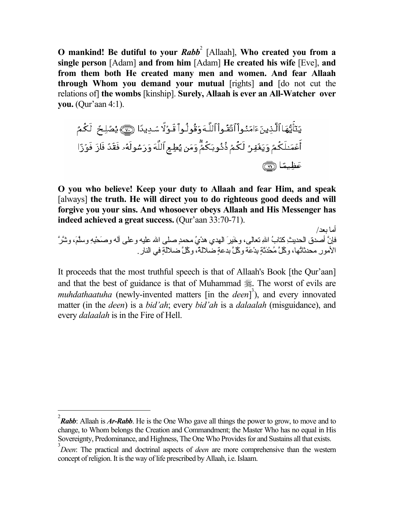**O** mankind! Be dutiful to your *Rabb*<sup>[2](#page-2-0)</sup> [Allaah], Who created you from a **single person** [Adam] **and from him** [Adam] **He created his wife** [Eve], **and from them both He created many men and women. And fear Allaah through Whom you demand your mutual** [rights] **and** [do not cut the relations of] **the wombs** [kinship]. **Surely, Allaah is ever an All-Watcher over you.** (Qur'aan 4:1).

**O you who believe! Keep your duty to Allaah and fear Him, and speak** [always] **the truth. He will direct you to do righteous good deeds and will forgive you your sins. And whosoever obeys Allaah and His Messenger has indeed achieved a great success.** (Qur'aan 33:70-71).

أما بعد/ .<br>فإنَّ أصدق الحديثِ كتابُ اللهِ تعالى، وخَيرَ الهدي هدْيُ محمدٍ صلى الله عليه وعلى آله وصَحْبهِ وسلَّمَ، وشَّرَ الأُمورِ محدثاتُها، وكُلَّ مُحْدَثَةٍ بِدْعَةٍ وكُلَّ بِدعةٍ ضَلالةٌ، وكُلَّ ضلالةٍ في النار

It proceeds that the most truthful speech is that of Allaah's Book [the Qur'aan] and that the best of guidance is that of Muhammad . The worst of evils are *muhdathaatuha* (newly-invented matters [in the *deen*]<sup>[3](#page-2-1)</sup>), and every innovated matter (in the *deen*) is a *bid'ah*; every *bid'ah* is a *dalaalah* (misguidance), and every *dalaalah* is in the Fire of Hell.

<span id="page-2-0"></span> $\frac{1}{2}$ *Rabb*: Allaah is *Ar-Rabb*. He is the One Who gave all things the power to grow, to move and to change, to Whom belongs the Creation and Commandment; the Master Who has no equal in His Sovereignty, Predominance, and Highness, The One Who Provides for and Sustains all that exists.

<span id="page-2-1"></span>*Deen*: The practical and doctrinal aspects of *deen* are more comprehensive than the western concept of religion. It is the way of life prescribed by Allaah, i.e. Islaam.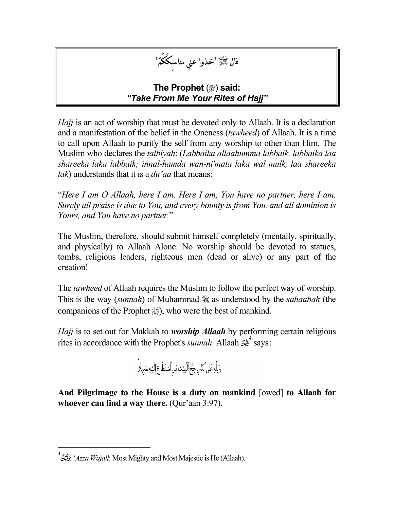

#### **The Prophet** (.) said: *"Take From Me Your Rites of Hajj"*

*Hajj* is an act of worship that must be devoted only to Allaah. It is a declaration and a manifestation of the belief in the Oneness (*tawheed*) of Allaah. It is a time to call upon Allaah to purify the self from any worship to other than Him. The Muslim who declares the *talbiyah*: (*Labbaika allaahumma labbaik. labbaika laa shareeka laka labbaik; innal-hamda wan-ni'mata laka wal mulk, laa shareeka lak*) understands that it is a *du'aa* that means:

"*Here I am O Allaah, here I am. Here I am, You have no partner, here I am. Surely all praise is due to You, and every bounty is from You, and all dominion is Yours, and You have no partner.*"

The Muslim, therefore, should submit himself completely (mentally, spiritually, and physically) to Allaah Alone. No worship should be devoted to statues, tombs, religious leaders, righteous men (dead or alive) or any part of the creation!

The *tawheed* of Allaah requires the Muslim to follow the perfect way of worship. This is the way *(sunnah)* of Muhammad  $\frac{1}{25}$  as understood by the *sahaabah* (the companions of the Prophet  $\frac{1}{20}$ , who were the best of mankind.

*Hajj* is to set out for Makkah to *worship Allaah* by performing certain religious ritesin accordance with the Prophet's *sunnah*. Allaah  $\mathbb{R}^4$  says:



 **And Pilgrimage to the House is a duty on mankind** [owed] **to Allaah for whoever can find a way there.** (Qur'aan 3:97).

<span id="page-3-0"></span> $\frac{1}{4}$  $^4$ انْجَلَّى: '*Azza Wajall*: Most Mighty and Most Majestic is He (Allaah).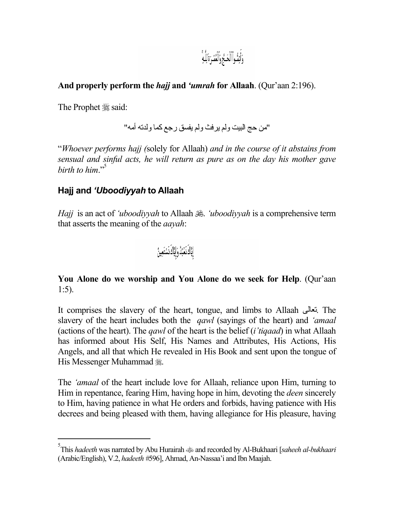وَأَتِمُّواْ ٱلْحَجَّ وَٱلْعُمُرَةَ لِلَّهِۚ

#### **And properly perform the** *hajj* **and** *'umrah* **for Allaah**. (Qur'aan 2:196).

The Prophet .said:

"من حج البيت ولم یرفث ولم یفسق رجع آما ولدته أمه"

"*Whoever performs hajj (*solely for Allaah) *and in the course of it abstains from sensual and sinful acts, he will return as pure as on the day his mother gave birth to him.*"

#### **Hajj and** *'Uboodiyyah* **to Allaah**

*Hajj* is an act of *'uboodiyyah* to Allaah  $\frac{1}{2}$ . *'uboodiyyah* is a comprehensive term that asserts the meaning of the *aayah*:

إِيَّاكَ نَعْبُدُ وَإِيَّاكَ نَسْتَعِينُ

**You Alone do we worship and You Alone do we seek for Help**. (Qur'aan 1:5).

It comprises the slavery of the heart, tongue, and limbs to Allaah تعالى. The slavery of the heart includes both the *qawl* (sayings of the heart) and *'amaal*  (actions of the heart). The *qawl* of the heart is the belief (*i'tiqaad*) in what Allaah has informed about His Self, His Names and Attributes, His Actions, His Angels, and all that which He revealed in His Book and sent upon the tongue of His Messenger Muhammad ...

The *'amaal* of the heart include love for Allaah, reliance upon Him, turning to Him in repentance, fearing Him, having hope in him, devoting the *deen* sincerely to Him, having patience in what He orders and forbids, having patience with His decrees and being pleased with them, having allegiance for His pleasure, having

<span id="page-4-0"></span> $\frac{1}{5}$ This *hadeeth* was narrated by Abu Hurairah and recorded by Al-Bukhaari [*saheeh al-bukhaari*  (Arabic/English), V.2, *hadeeth #*596], Ahmad, An-Nassaa'i and Ibn Maajah.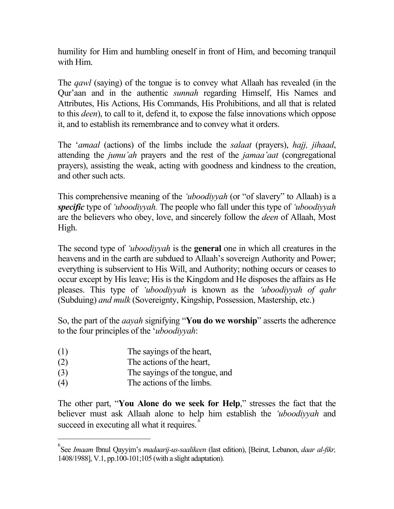humility for Him and humbling oneself in front of Him, and becoming tranquil with Him.

The *qawl* (saying) of the tongue is to convey what Allaah has revealed (in the Qur'aan and in the authentic *sunnah* regarding Himself, His Names and Attributes, His Actions, His Commands, His Prohibitions, and all that is related to this *deen*), to call to it, defend it, to expose the false innovations which oppose it, and to establish its remembrance and to convey what it orders.

The '*amaal* (actions) of the limbs include the *salaat* (prayers), *hajj, jihaad*, attending the *jumu'ah* prayers and the rest of the *jamaa'aat* (congregational prayers), assisting the weak, acting with goodness and kindness to the creation, and other such acts.

This comprehensive meaning of the *'uboodiyyah* (or "of slavery" to Allaah) is a *specific* type of *'uboodiyyah.* The people who fall under this type of *'uboodiyyah* are the believers who obey, love, and sincerely follow the *deen* of Allaah, Most High.

The second type of *'uboodiyyah* is the **general** one in which all creatures in the heavens and in the earth are subdued to Allaah's sovereign Authority and Power; everything is subservient to His Will, and Authority; nothing occurs or ceases to occur except by His leave; His is the Kingdom and He disposes the affairs as He pleases. This type of *'uboodiyyah* is known as the *'uboodiyyah of qahr*  (Subduing) *and mulk* (Sovereignty, Kingship, Possession, Mastership, etc.)

So, the part of the *aayah* signifying "**You do we worship**" asserts the adherence to the four principles of the '*uboodiyyah*:

- (1) The sayings of the heart,
- (2) The actions of the heart,
- (3) The sayings of the tongue, and
- (4) The actions of the limbs.

l

The other part, "**You Alone do we seek for Help**," stresses the fact that the believer must ask Allaah alone to help him establish the *'uboodiyyah* and succeed in executing all what it requires.<sup>[6](#page-5-0)</sup>

<span id="page-5-0"></span><sup>6</sup> See *Imaam* Ibnul Qayyim's *madaarij-us-saalikeen* (last edition), [Beirut, Lebanon, *daar al-fikr,*  1408/1988], V.1, pp.100-101;105 (with a slight adaptation).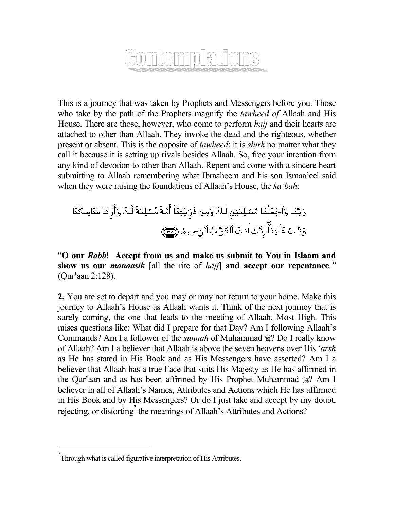# <u>FONICINIDIATIONS</u>

This is a journey that was taken by Prophets and Messengers before you. Those who take by the path of the Prophets magnify the *tawheed of* Allaah and His House. There are those, however, who come to perform *hajj* and their hearts are attached to other than Allaah. They invoke the dead and the righteous, whether present or absent. This is the opposite of *tawheed*; it is *shirk* no matter what they call it because it is setting up rivals besides Allaah. So, free your intention from any kind of devotion to other than Allaah. Repent and come with a sincere heart submitting to Allaah remembering what Ibraaheem and his son Ismaa'eel said when they were raising the foundations of Allaah's House, the *ka'bah*:

رَبَّنَا وَآجُعَلُنَا مُسُلِمَيُنِ لَكَ وَمِن فُرِّيَّتِنَاً أُمَّةَ مُّسُلِمَةَ لَّكَ وَأَرِنَا مَنَاسِكَنَا  
وَتُبُ عَلَيَنَّاً إِنَّكَ اََنتَ اَلَتَّوَّادُ اَلرَّحِيمُ
$$
\overline{\overline{\textbf{m}}}
$$

"**O our** *Rabb***! Accept from us and make us submit to You in Islaam and show us our** *manaasik* [all the rite of *hajj*] **and accept our repentance***."* (Qur'aan 2:128).

**2.** You are set to depart and you may or may not return to your home. Make this journey to Allaah's House as Allaah wants it. Think of the next journey that is surely coming, the one that leads to the meeting of Allaah, Most High. This raises questions like: What did I prepare for that Day? Am I following Allaah's Commands? Am I a follower of the *sunnah* of Muhammad  $\frac{100}{20}$ ? Do I really know of Allaah? Am I a believer that Allaah is above the seven heavens over His '*arsh* as He has stated in His Book and as His Messengers have asserted? Am I a believer that Allaah has a true Face that suits His Majesty as He has affirmed in the Qur'aan and as has been affirmed by His Prophet Muhammad  $\frac{160}{26}$ ? Am I believer in all of Allaah's Names, Attributes and Actions which He has affirmed in His Book and by His Messengers? Or do I just take and accept by my doubt, rejecting, or distorting<sup>[7](#page-6-0)</sup> the meanings of Allaah's Attributes and Actions?

<span id="page-6-0"></span> <sup>7</sup>  $7$ Through what is called figurative interpretation of His Attributes.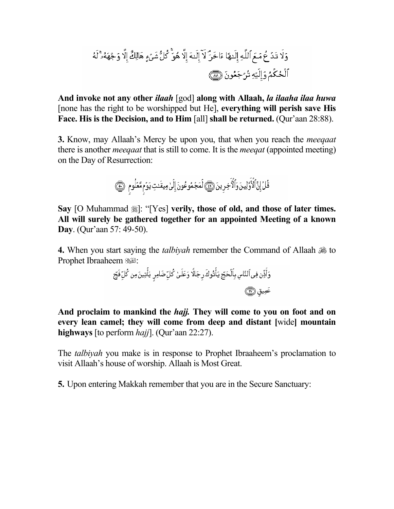**And invoke not any other** *ilaah* [god] **along with Allaah,** *la ilaaha ilaa huwa* [none has the right to be worshipped but He], **everything will perish save His Face. His is the Decision, and to Him** [all] **shall be returned.** (Qur'aan 28:88).

**3.** Know, may Allaah's Mercy be upon you, that when you reach the *meeqaat*  there is another *meeqaat* that is still to come. It is the *meeqat* (appointed meeting) on the Day of Resurrection:

قُلٌ إِنَّ ٱلۡأَوَّلِينَ وَٱلۡآخِرِينَ ۞ لَمَجۡمُوعُونَ إِلَىٰٰ مِيقَـٰتِ يَوۡم مَّعۡلُوم ۞

Say [O Muhammad  $\frac{1}{2}$ ]: "[Yes] **verily, those of old, and those of later times. All will surely be gathered together for an appointed Meeting of a known Day**. (Qur'aan 57: 49-50).

**4.** When you start saying the *talbiyah* remember the Command of Allaah to Prophet Ibraaheem :

> وَأَذِّن فِى ٱلنَّاسِ بِٱلۡحَجِّ يَأۡتُوكَ رِجَالًا وَعَلَىٰ كُلِّ ضَامِرٍ يَأۡتِينَ مِن كُلِّ فَجِّع عَمِيق (٣٦

**And proclaim to mankind the** *hajj.* **They will come to you on foot and on every lean camel; they will come from deep and distant [**wide**] mountain highways** [to perform *hajj*]. (Qur'aan 22:27).

The *talbiyah* you make is in response to Prophet Ibraaheem's proclamation to visit Allaah's house of worship. Allaah is Most Great.

**5.** Upon entering Makkah remember that you are in the Secure Sanctuary: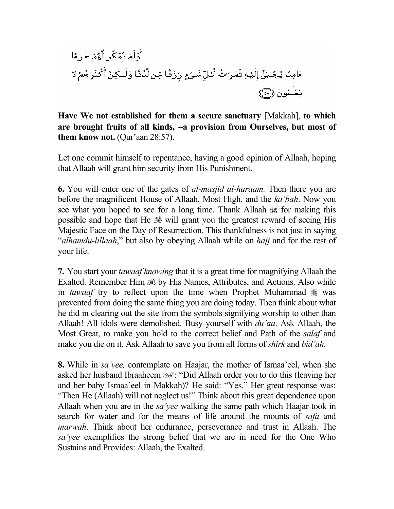

**Have We not established for them a secure sanctuary** [Makkah], **to which are brought fruits of all kinds,** −**a provision from Ourselves, but most of them know not.** (Qur'aan 28:57).

Let one commit himself to repentance, having a good opinion of Allaah, hoping that Allaah will grant him security from His Punishment.

**6.** You will enter one of the gates of *al-masjid al-haraam.* Then there you are before the magnificent House of Allaah, Most High, and the *ka'bah*. Now you see what you hoped to see for a long time. Thank Allaah  $\mathcal{H}$  for making this possible and hope that He  $\frac{1}{200}$  will grant you the greatest reward of seeing His Majestic Face on the Day of Resurrection. This thankfulness is not just in saying "*alhamdu-lillaah*," but also by obeying Allaah while on *hajj* and for the rest of your life.

**7.** You start your *tawaaf knowing* that it is a great time for magnifying Allaah the Exalted. Remember Him  $\frac{15}{20}$  by His Names, Attributes, and Actions. Also while in *tawaaf* try to reflect upon the time when Prophet Muhammad  $\frac{1}{20}$  was prevented from doing the same thing you are doing today. Then think about what he did in clearing out the site from the symbols signifying worship to other than Allaah! All idols were demolished. Busy yourself with *du'aa*. Ask Allaah, the Most Great, to make you hold to the correct belief and Path of the *salaf* and make you die on it. Ask Allaah to save you from all forms of *shirk* and *bid'ah.*

**8.** While in *sa'yee,* contemplate on Haajar, the mother of Ismaa'eel, when she asked her husband Ibraaheem : "Did Allaah order you to do this (leaving her and her baby Ismaa'eel in Makkah)? He said: "Yes." Her great response was: "Then He (Allaah) will not neglect us!" Think about this great dependence upon Allaah when you are in the *sa'yee* walking the same path which Haajar took in search for water and for the means of life around the mounts of *safa* and *marwah*. Think about her endurance, perseverance and trust in Allaah. The *sa'yee* exemplifies the strong belief that we are in need for the One Who Sustains and Provides: Allaah, the Exalted.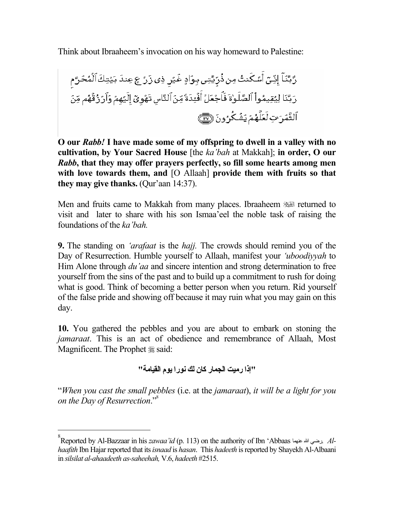Think about Ibraaheem's invocation on his way homeward to Palestine:

**O our** *Rabb!* **I have made some of my offspring to dwell in a valley with no cultivation, by Your Sacred House** [the *ka'bah* at Makkah]; **in order, O our**  *Rabb***, that they may offer prayers perfectly, so fill some hearts among men with love towards them, and** [O Allaah] **provide them with fruits so that they may give thanks.** (Qur'aan 14:37).

Men and fruits came to Makkah from many places. Ibraaheem **Ell returned** to visit and later to share with his son Ismaa'eel the noble task of raising the foundations of the *ka'bah.* 

**9.** The standing on *'arafaat* is the *hajj.* The crowds should remind you of the Day of Resurrection. Humble yourself to Allaah, manifest your *'uboodiyyah* to Him Alone through *du'aa* and sincere intention and strong determination to free yourself from the sins of the past and to build up a commitment to rush for doing what is good. Think of becoming a better person when you return. Rid yourself of the false pride and showing off because it may ruin what you may gain on this day.

**10.** You gathered the pebbles and you are about to embark on stoning the *jamaraat*. This is an act of obedience and remembrance of Allaah, Most Magnificent. The Prophet  $\frac{1}{20}$  said:

**"إذا رميت الجمار آان لك نورا يوم القيامة "**

"*When you cast the small pebbles* (i.e. at the *jamaraat*), *it will be a light for you on the Day of Resurrection*.["8](#page-9-0)

<span id="page-9-0"></span> <sup>8</sup> Reported by Al-Bazzaar in his *zawaa'id* (p. 113) on the authority of Ibn 'Abbaas عنهما االله رضي. *Alhaafith* Ibn Hajar reported that its *isnaad* is *hasan*. This *hadeeth* is reported by Shayekh Al-Albaani in *silsilat al-ahaadeeth as-saheehah,* V.6, *hadeeth* #2515.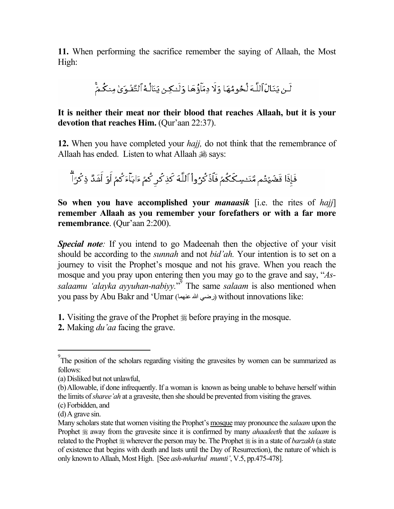**11.** When performing the sacrifice remember the saying of Allaah, the Most High:

لَـن يَنَـالَ ٱللَّـهَ لُحُومُهَا وَلَا دِمَآؤُهَا وَلَـٰكِـن يَنَالُهُ ٱلتَّقُـوَىٰ مِنكُـمٌّ

#### **It is neither their meat nor their blood that reaches Allaah, but it is your devotion that reaches Him.** (Qur'aan 22:37).

**12.** When you have completed your *hajj,* do not think that the remembrance of Allaah has ended. Listen to what Allaah  $\frac{1}{2}$  says:

فَإِذَا قَضَيْتُم مَّنَـْسِـكَكُمۡ فَاَذۡ كُرُواْ ٱللَّهَ كَذِكُر كُمۡ ءَابَـٰٓآءَكُمۡ أَوۡ أَشَدَّ ذِكۡرَٱۗ

**So when you have accomplished your** *manaasik* [i.e. the rites of *hajj*] **remember Allaah as you remember your forefathers or with a far more remembrance**. (Qur'aan 2:200).

*Special note:* If you intend to go Madeenah then the objective of your visit should be according to the *sunnah* and not *bid'ah.* Your intention is to set on a journey to visit the Prophet's mosque and not his grave. When you reach the mosque and you pray upon entering then you may go to the grave and say, "*As*salaamu 'alayka ayyuhan-nabiyy.<sup>"</sup> The same *salaam* is also mentioned when you pass by Abu Bakr and 'Umar (رضي الله عنهما) without innovations like:

- **1.** Visiting the grave of the Prophet  $\frac{1}{20}$  before praying in the mosque.
- **2.** Making *du'aa* facing the grave.

<span id="page-10-0"></span> <sup>9</sup> <sup>9</sup>The position of the scholars regarding visiting the gravesites by women can be summarized as follows:

<sup>(</sup>a) Disliked but not unlawful,

<sup>(</sup>b) Allowable, if done infrequently. If a woman is known as being unable to behave herself within the limits of*sharee'ah* at a gravesite, then she should be prevented from visiting the graves.

<sup>(</sup>c) Forbidden, and

<sup>(</sup>d) A grave sin.

Many scholars state that women visiting the Prophet's mosque may pronounce the *salaam* upon the Prophet  $\equiv$  away from the gravesite since it is confirmed by many *ahaadeeth* that the *salaam* is related to the Prophet  $\frac{1}{28}$  wherever the person may be. The Prophet  $\frac{1}{28}$  is in a state of *barzakh* (a state of existence that begins with death and lasts until the Day of Resurrection), the nature of which is only known to Allaah, Most High. [See *ash-mharhul mumti'*, V.5, pp.475-478].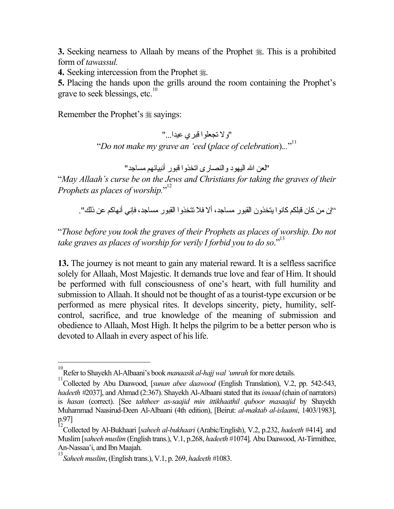**3.** Seeking nearness to Allaah by means of the Prophet . This is a prohibited form of *tawassul.*

**4.** Seeking intercession from the Prophet ...

**5.** Placing the hands upon the grills around the room containing the Prophet's grave to seek blessings, etc.<sup>10</sup>

Remember the Prophet's  $\frac{1}{28}$  sayings:

"ولا تجعلوا قبري عيدا..." "*Do not make my grave an 'eed* (*place of celebration*).*..*" [11](#page-11-1)

"لعن االله اليهود والنصارى اتخذوا قبور أنبيائهم مساجد "

"*May Allaah's curse be on the Jews and Christians for taking the graves of their Prophets as places of worship.*"<sup>[12](#page-11-2)</sup>

''إن من كان قبلكم كانو ا يتخذون القبور ٍ مساجد، ألا فلا تتخذو ا القبور ٍ مساجد، فإني أنهاكم عن ذلك".

"*Those before you took the graves of their Prophets as places of worship. Do not*  take graves as places of worship for verily I forbid you to do so."<sup>[13](#page-11-3)</sup>

**13.** The journey is not meant to gain any material reward. It is a selfless sacrifice solely for Allaah, Most Majestic. It demands true love and fear of Him. It should be performed with full consciousness of one's heart, with full humility and submission to Allaah. It should not be thought of as a tourist-type excursion or be performed as mere physical rites. It develops sincerity, piety, humility, selfcontrol, sacrifice, and true knowledge of the meaning of submission and obedience to Allaah, Most High. It helps the pilgrim to be a better person who is devoted to Allaah in every aspect of his life.

<span id="page-11-0"></span> 10 Refer to Shayekh Al-Albaani's book *manaasik al-hajj wal 'umrah* for more details.

<span id="page-11-1"></span><sup>&</sup>lt;sup>11</sup>Collected by Abu Daawood, [*sunan abee daawood* (English Translation), V.2, pp. 542-543, *hadeeth #*2037], and Ahmad (2:367). Shayekh Al-Albaani stated that its *isnaad* (chain of narrators) is *hasan* (correct). [See *tahtheer as-saajid min ittikhaathil quboor masaajid* by Shayekh Muhammad Naasirud-Deen Al-Albaani (4th edition), [Beirut: *al-maktab al-islaami*, 1403/1983], p.97]

<span id="page-11-2"></span><sup>12</sup> Collected by Al-Bukhaari [*saheeh al-bukhaari* (Arabic/English), V.2, p.232, *hadeeth* #414]*,* and Muslim [*saheeh muslim* (English trans.), V.1, p.268, *hadeeth* #1074]*,* Abu Daawood, At-Tirmithee, An-Nassaa'i, and Ibn Maajah.

<span id="page-11-3"></span><sup>13</sup> *Saheeh muslim*, (English trans.), V.1, p. 269, *hadeeth #*1083.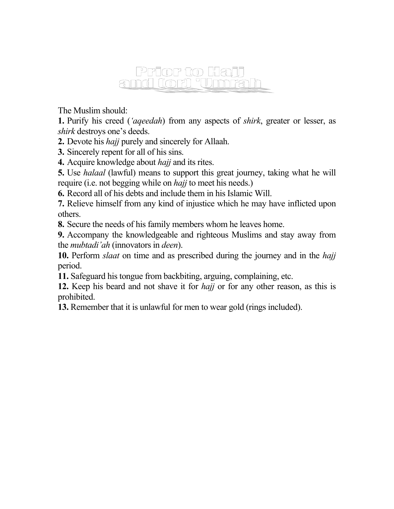#### Prior to Hajj and **Cord** "Unnrah

The Muslim should:

**1.** Purify his creed (*'aqeedah*) from any aspects of *shirk*, greater or lesser, as *shirk* destroys one's deeds.

**2.** Devote his *hajj* purely and sincerely for Allaah.

**3.** Sincerely repent for all of his sins.

**4.** Acquire knowledge about *hajj* and its rites.

**5.** Use *halaal* (lawful) means to support this great journey, taking what he will require (i.e. not begging while on *hajj* to meet his needs.)

**6.** Record all of his debts and include them in his Islamic Will.

**7.** Relieve himself from any kind of injustice which he may have inflicted upon others.

**8.** Secure the needs of his family members whom he leaves home.

**9.** Accompany the knowledgeable and righteous Muslims and stay away from the *mubtadi'ah* (innovators in *deen*).

**10.** Perform *slaat* on time and as prescribed during the journey and in the *hajj*  period.

**11.** Safeguard his tongue from backbiting, arguing, complaining, etc.

**12.** Keep his beard and not shave it for *hajj* or for any other reason, as this is prohibited.

**13.** Remember that it is unlawful for men to wear gold (rings included).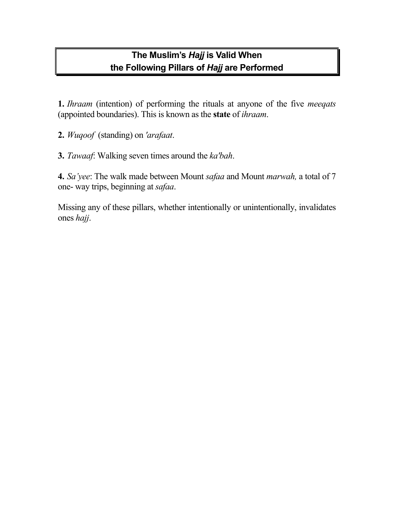#### **The Muslim's** *Hajj* **is Valid When the Following Pillars of** *Hajj* **are Performed**

**1.** *Ihraam* (intention) of performing the rituals at anyone of the five *meeqats*  (appointed boundaries). This is known as the **state** of *ihraam*.

- **2.** *Wuqoof* (standing) on *'arafaat*.
- **3.** *Tawaaf*: Walking seven times around the *ka'bah*.

**4.** *Sa'yee*: The walk made between Mount *safaa* and Mount *marwah,* a total of 7 one- way trips, beginning at *safaa*.

Missing any of these pillars, whether intentionally or unintentionally, invalidates ones *hajj*.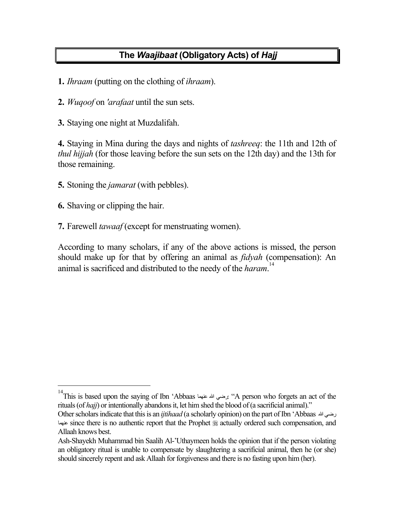#### **The** *Waajibaat* **(Obligatory Acts) of** *Hajj*

- **1.** *Ihraam* (putting on the clothing of *ihraam*).
- **2.** *Wuqoof* on *'arafaat* until the sun sets.
- **3.** Staying one night at Muzdalifah.

**4.** Staying in Mina during the days and nights of *tashreeq*: the 11th and 12th of *thul hijjah* (for those leaving before the sun sets on the 12th day) and the 13th for those remaining.

- **5.** Stoning the *jamarat* (with pebbles).
- **6.** Shaving or clipping the hair.
- **7.** Farewell *tawaaf* (except for menstruating women).

According to many scholars, if any of the above actions is missed, the person should make up for that by offering an animal as *fidyah* (compensation): An animal is sacrificed and distributed to the needy of the *haram*. [14](#page-14-0)

<span id="page-14-0"></span> 14 This is based upon the saying of Ibn 'Abbaas عنهما االله رضي:" A person who forgets an act of the rituals (of *hajj*) or intentionally abandons it, let him shed the blood of (a sacrificial animal)."

Other scholars indicate that this is an *ijtihaad* (a scholarly opinion) on the part of Ibn 'Abbaas االله رضي عنهما since there is no authentic report that the Prophet actually ordered such compensation, and Allaah knows best.

Ash-Shayekh Muhammad bin Saalih Al-'Uthaymeen holds the opinion that if the person violating an obligatory ritual is unable to compensate by slaughtering a sacrificial animal, then he (or she) should sincerely repent and ask Allaah for forgiveness and there is no fasting upon him (her).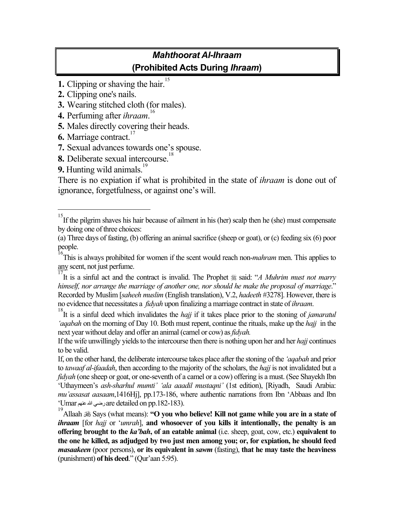#### *Mahthoorat Al-Ihraam* **(Prohibited Acts During** *Ihraam***)**

- **1.** Clipping or shaving the hair.<sup>[15](#page-15-0)</sup>
- **2.** Clipping one's nails.
- **3.** Wearing stitched cloth (for males).
- **4.** Perfuming after *ihraam*. [16](#page-15-1)
- **5.** Males directly covering their heads.
- **6.** Marriage contract.<sup>[17](#page-15-2)</sup>
- **7.** Sexual advances towards one's spouse.
- **8.** Deliberate sexual intercourse.<sup>18</sup>
- **9.** Hunting wild animals.<sup>[19](#page-15-4)</sup>

There is no expiation if what is prohibited in the state of *ihraam* is done out of ignorance, forgetfulness, or against one's will.

<span id="page-15-0"></span><sup>&</sup>lt;sup>15</sup><br>If the pilgrim shaves his hair because of ailment in his (her) scalp then he (she) must compensate by doing one of three choices:

<sup>(</sup>a) Three days of fasting, (b) offering an animal sacrifice (sheep or goat), or (c) feeding six (6) poor people.

<span id="page-15-1"></span><sup>16</sup> This is always prohibited for women if the scent would reach non-*mahram* men. This applies to any scent, not just perfume.

<span id="page-15-2"></span>IT is a sinful act and the contract is invalid. The Prophet  $\frac{1}{28}$  said: "*A Muhrim must not marry himself, nor arrange the marriage of another one, nor should he make the proposal of marriage*." Recorded by Muslim [*saheeh muslim* (English translation), V.2, *hadeeth* #3278]. However, there is no evidence that necessitates a *fidyah* upon finalizing a marriage contract in state of *ihraam*. 18

<span id="page-15-3"></span>It is a sinful deed which invalidates the *hajj* if it takes place prior to the stoning of *jamaratul 'aqabah* on the morning of Day 10. Both must repent, continue the rituals, make up the *hajj* in the next year without delay and offer an animal (camel or cow) as *fidyah.*

If the wife unwillingly yields to the intercourse then there is nothing upon her and her *hajj* continues to be valid.

If, on the other hand, the deliberate intercourse takes place after the stoning of the *'aqabah* and prior to *tawaaf al-ifaadah*, then according to the majority of the scholars, the *hajj* is not invalidated but a *fidyah* (one sheep or goat, or one-seventh of a camel or a cow) offering is a must. (See Shayekh Ibn 'Uthaymeen's *ash-sharhul mumti' 'ala aaadil mustaqni'* (1st edition), [Riyadh, Saudi Arabia: *mu'assasat aasaam*,1416Hj], pp.173-186, where authentic narrations from Ibn 'Abbaas and Ibn 'Umarااللهعنهم رضي are detailed on pp.182-183).

<span id="page-15-4"></span><sup>&</sup>lt;sup>19</sup> Allaah  $\frac{1}{19}$  Says (what means): "O you who believe! Kill not game while you are in a state of *ihraam* [for *hajj* or '*umrah*], **and whosoever of you kills it intentionally, the penalty is an offering brought to the** *ka'bah***, of an eatable animal** (i.e. sheep, goat, cow, etc.) **equivalent to the one he killed, as adjudged by two just men among you; or, for expiation, he should feed**  *masaakeen* (poor persons), **or its equivalent in** *sawm* (fasting), **that he may taste the heaviness**  (punishment) **of his deed**." (Qur'aan 5:95).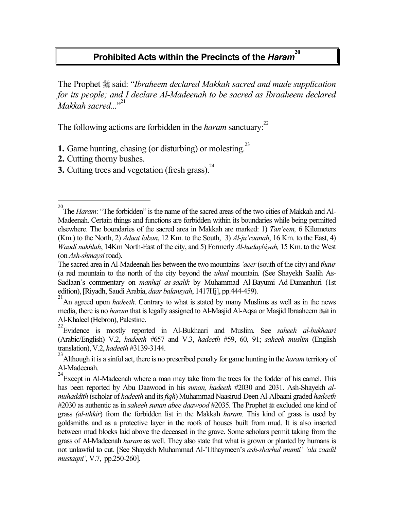### **Prohibited Acts within the Precincts of the** *Haram***<sup>[20](#page-16-0)</sup>**

The Prophet  $\frac{1}{20}$  said: "*Ibraheem declared Makkah sacred and made supplication for its people; and I declare Al-Madeenah to be sacred as Ibraaheem declared Makkah sacred...*" [21](#page-16-1)

The following actions are forbidden in the *haram* sanctuary.<sup>[22](#page-16-2)</sup>

- **1.** Game hunting, chasing (or disturbing) or molesting.<sup>[23](#page-16-3)</sup>
- **2.** Cutting thorny bushes.

 $\overline{a}$ 

**3.** Cutting trees and vegetation (fresh grass).<sup>[24](#page-16-4)</sup>

<span id="page-16-0"></span><sup>20</sup> The *Haram*: "The forbidden" is the name of the sacred areas of the two cities of Makkah and Al-Madeenah. Certain things and functions are forbidden within its boundaries while being permitted elsewhere. The boundaries of the sacred area in Makkah are marked: 1) *Tan'eem,* 6 Kilometers (Km.) to the North, 2) *Adaat laban*, 12 Km. to the South, 3) *Al-ju'raanah*, 16 Km. to the East, 4) *Waadi nakhlah*, 14Km North-East of the city, and 5) Formerly *Al-hudaybiyah,* 15 Km. to the West (on *Ash-shmaysi* road).

The sacred area in Al-Madeenah lies between the two mountains *'aeer* (south of the city) and *thaur*  (a red mountain to the north of the city beyond the *uhud* mountain*.* (See Shayekh Saalih As-Sadlaan's commentary on *manhaj as-saalik* by Muhammad Al-Bayumi Ad-Damanhuri (1st edition), [Riyadh, Saudi Arabia, *daar balansyah*, 1417Hj], pp.444-459).

<span id="page-16-1"></span><sup>21</sup> An agreed upon *hadeeth*. Contrary to what is stated by many Muslims as well as in the news media, there is no *haram* that is legally assigned to Al-Masjid Al-Aqsa or Masjid Ibraaheem **set in** Al-Khaleel (Hebron), Palestine.

<span id="page-16-2"></span><sup>22</sup> Evidence is mostly reported in Al-Bukhaari and Muslim. See *saheeh al-bukhaari* (Arabic/English) V.2, *hadeeth #*657 and V.3, *hadeeth* #59, 60, 91; *saheeh muslim* (English translation), V.2, *hadeeth* #3139-3144.

<span id="page-16-3"></span><sup>23</sup> Although it is a sinful act, there is no prescribed penalty for game hunting in the *haram* territory of Al-Madeenah.

<span id="page-16-4"></span> $24$  Except in Al-Madeenah where a man may take from the trees for the fodder of his camel. This has been reported by Abu Daawood in his *sunan, hadeeth* #2030 and 2031. Ash-Shayekh *almuhaddith* (scholar of *hadeeth* and its *fiqh*) Muhammad Naasirud-Deen Al-Albaani graded *hadeeth*  #2030 as authentic as in *saheeh sunan abee daawood* #2035. The Prophet  $\frac{4}{36}$  excluded one kind of grass *(al-ithkir*) from the forbidden list in the Makkah *haram.* This kind of grass is used by goldsmiths and as a protective layer in the roofs of houses built from mud. It is also inserted between mud blocks laid above the deceased in the grave. Some scholars permit taking from the grass of Al-Madeenah *haram* as well. They also state that what is grown or planted by humans is not unlawful to cut. [See Shayekh Muhammad Al-'Uthaymeen's *ash-sharhul mumti' 'ala zaadil mustaqni',* V.7, pp.250-260].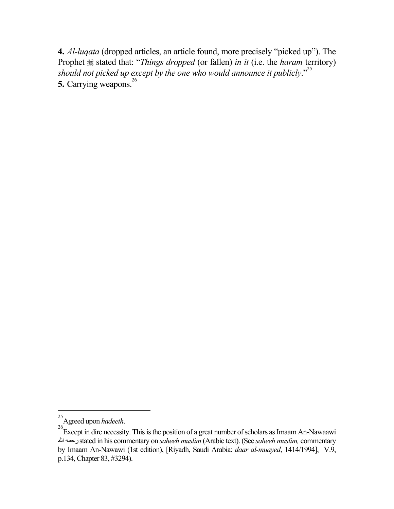**4.** *Al-luqata* (dropped articles, an article found, more precisely "picked up"). The Prophet  $\frac{1}{20}$  stated that: "*Things dropped* (or fallen) *in it* (i.e. the *haram* territory) *should not picked up except by the one who would announce it publicly*."[25](#page-17-0) **5.** Carrying weapons.<sup>26</sup>

<span id="page-17-0"></span><sup>&</sup>lt;sup>25</sup> Agreed upon *hadeeth*.

<span id="page-17-1"></span>Except in dire necessity. This is the position of a great number of scholars as Imaam An-Nawaawi رحمهاالله stated in his commentary on *saheeh muslim* (Arabic text). (See *saheeh muslim,* commentary by Imaam An-Nawawi (1st edition), [Riyadh, Saudi Arabia: *daar al-muayed*, 1414/1994], V.9, p.134, Chapter 83, #3294).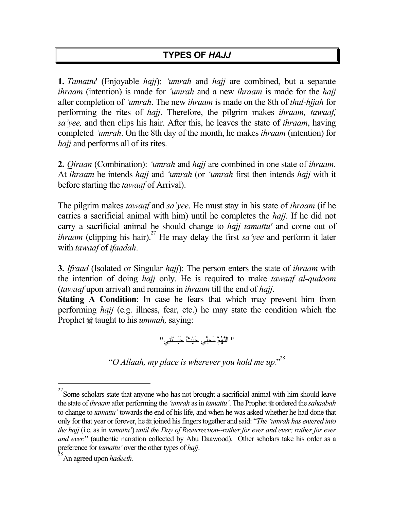#### **TYPES OF** *HAJJ*

**1.** *Tamattu*' (Enjoyable *hajj*): *'umrah* and *hajj* are combined, but a separate *ihraam* (intention) is made for *'umrah* and a new *ihraam* is made for the *hajj* after completion of *'umrah*. The new *ihraam* is made on the 8th of *thul-hjjah* for performing the rites of *hajj*. Therefore, the pilgrim makes *ihraam, tawaaf, sa'yee,* and then clips his hair. After this, he leaves the state of *ihraam*, having completed *'umrah*. On the 8th day of the month, he makes *ihraam* (intention) for *hajj* and performs all of its rites.

**2.** *Qiraan* (Combination): *'umrah* and *hajj* are combined in one state of *ihraam*. At *ihraam* he intends *hajj* and *'umrah* (or *'umrah* first then intends *hajj* with it before starting the *tawaaf* of Arrival).

The pilgrim makes *tawaaf* and *sa'yee*. He must stay in his state of *ihraam* (if he carries a sacrificial animal with him) until he completes the *hajj*. If he did not carry a sacrificial animal he should change to *hajj tamattu'* and come out of *ihraam* (clipping his hair).<sup>27</sup> He may delay the first *sa'yee* and perform it later with *tawaaf* of *ifaadah*.

**3.** *Ifraad* (Isolated or Singular *hajj*): The person enters the state of *ihraam* with the intention of doing *hajj* only. He is required to make *tawaaf al-qudoom* (*tawaaf* upon arrival) and remains in *ihraam* till the end of *hajj*.

**Stating A Condition**: In case he fears that which may prevent him from performing *hajj* (e.g. illness, fear, etc.) he may state the condition which the Prophet  $*$  taught to his *ummah*, saying:

" اللَّهُمَّ مَحِلِّي حَيْثُ حَبَسْتَنِي "

"*O Allaah, my place is wherever you hold me up.*" [28](#page-18-1)

<span id="page-18-0"></span><sup>&</sup>lt;sup>27</sup> Some scholars state that anyone who has not brought a sacrificial animal with him should leave the state of *ihraam* after performing the *'umrah* as in *tamattu'*. The Prophet  $\equiv$  ordered the *sahaabah* to change to *tamattu'* towards the end of his life, and when he was asked whether he had done that only for that year or forever, he joined his fingers together and said: "*The 'umrah has entered into the hajj* (i.e. as in *tamattu'*) *until the Day of Resurrection--rather for ever and ever; rather for ever and ever.*" (authentic narration collected by Abu Daawood). Other scholars take his order as a preference for *tamattu'* over the other types of *hajj*.

<span id="page-18-1"></span>An agreed upon *hadeeth.*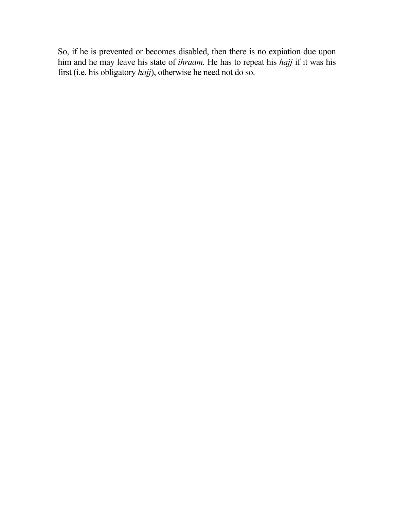So, if he is prevented or becomes disabled, then there is no expiation due upon him and he may leave his state of *ihraam.* He has to repeat his *hajj* if it was his first (i.e. his obligatory *hajj*), otherwise he need not do so.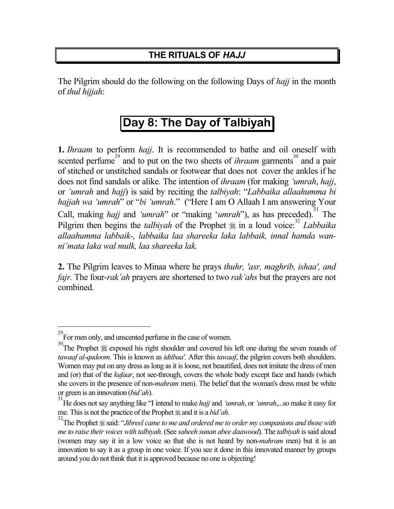#### **THE RITUALS OF** *HAJJ*

The Pilgrim should do the following on the following Days of *hajj* in the month of *thul hijjah*:

### Day 8: The Day of Talbiyah

**1.** *Ihraam* to perform *hajj*. It is recommended to bathe and oil oneself with scented perfume<sup>29</sup> and to put on the two sheets of *ihraam* garments<sup>30</sup> and a pair of stitched or unstitched sandals or footwear that does not cover the ankles if he does not find sandals or alike. The intention of *ihraam* (for making *'umrah*, *hajj*, or *'umrah* and *hajj*) is said by reciting the *talbiyah*: "*Labbaika allaahumma bi hajjah wa 'umrah*" or "*bi 'umrah*." ("Here I am O Allaah I am answering Your Call, making *hajj* and '*umrah*'' or "making '*umrah*"), as has preceded).<sup>31</sup> The Pilgrim then begins the *talbiyah* of the Prophet  $\frac{1}{26}$  in a loud voice:<sup>[32](#page-20-3)</sup> *Labbaika allaahumma labbaik-, labbaika laa shareeka laka labbaik, innal hamda wanni'mata laka wal mulk, laa shareeka lak.*

**2.** The Pilgrim leaves to Minaa where he prays *thuhr, 'asr, maghrib, ishaa', and fajr.* The four-*rak'ah* prayers are shortened to two *rak'ahs* but the prayers are not combined.

<span id="page-20-0"></span> <sup>29</sup> For men only, and unscented perfume in the case of women.

<span id="page-20-1"></span>The Prophet  $*$  exposed his right shoulder and covered his left one during the seven rounds of *tawaaf al-qudoom*. This is known as *idtibaa'.* After this *tawaaf*, the pilgrim covers both shoulders. Women may put on any dress as long as it is loose, not beautified, does not imitate the dress of men and (or) that of the *kufaar*, not see-through, covers the whole body except face and hands (which she covers in the presence of non-*mahram* men). The belief that the woman's dress must be white or green is an innovation (*bid'ah*).

<span id="page-20-2"></span><sup>31</sup> He does not say anything like "I intend to make *hajj* and *'umrah*, or *'umrah*,...so make it easy for me. This is not the practice of the Prophet  $\equiv$  and it is a *bid'ah*.

<span id="page-20-3"></span><sup>&</sup>lt;sup>32</sup>The Prophet  $\frac{1}{2}$  said: "*Jibreel came to me and ordered me to order my companions and those with me to raise their voices with talbiyah.* (See *saheeh sunan abee daawood*). The *talbiyah* is said aloud (women may say it in a low voice so that she is not heard by non-*mahram* men) but it is an innovation to say it as a group in one voice. If you see it done in this innovated manner by groups around you do not think that it is approved because no one is objecting!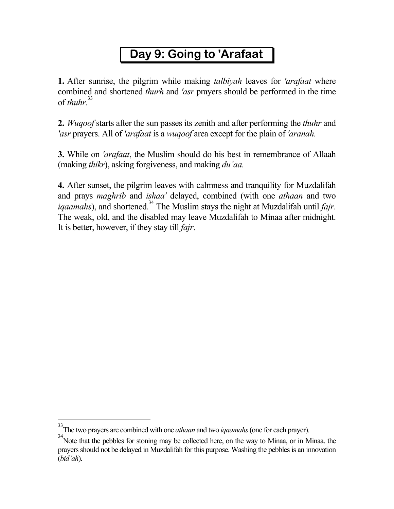# Day 9: Going to 'Arafaat

**1.** After sunrise, the pilgrim while making *talbiyah* leaves for *'arafaat* where combined and shortened *thurh* and *'asr* prayers should be performed in the time of *thuhr.*[33](#page-21-0)

**2.** *Wuqoof* starts after the sun passes its zenith and after performing the *thuhr* and *'asr* prayers. All of *'arafaat* is a *wuqoof* area except for the plain of *'aranah.* 

**3.** While on *'arafaat*, the Muslim should do his best in remembrance of Allaah (making *thikr*), asking forgiveness, and making *du'aa.* 

**4.** After sunset, the pilgrim leaves with calmness and tranquility for Muzdalifah and prays *maghrib* and *ishaa'* delayed, combined (with one *athaan* and two *igaamahs*), and shortened.<sup>34</sup> The Muslim stays the night at Muzdalifah until *fajr*. The weak, old, and the disabled may leave Muzdalifah to Minaa after midnight. It is better, however, if they stay till *fajr*.

<span id="page-21-0"></span> $\frac{1}{33}$ The two prayers are combined with one *athaan* and two *iqaamahs* (one for each prayer).

<span id="page-21-1"></span><sup>&</sup>lt;sup>34</sup> Note that the pebbles for stoning may be collected here, on the way to Minaa, or in Minaa. the prayers should not be delayed in Muzdalifah for this purpose. Washing the pebbles is an innovation (*bid'ah*).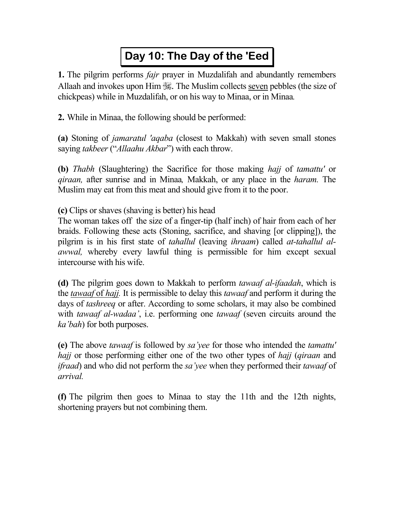## Day 10: The Day of the 'Eed

**1.** The pilgrim performs *fajr* prayer in Muzdalifah and abundantly remembers Allaah and invokes upon Him  $\frac{360}{365}$ . The Muslim collects seven pebbles (the size of chickpeas) while in Muzdalifah, or on his way to Minaa, or in Minaa*.* 

**2.** While in Minaa, the following should be performed:

**(a)** Stoning of *jamaratul 'aqaba* (closest to Makkah) with seven small stones saying *takbeer* ("*Allaahu Akbar*") with each throw.

**(b)** *Thabh* (Slaughtering) the Sacrifice for those making *hajj* of *tamattu'* or *qiraan,* after sunrise and in Minaa*,* Makkah, or any place in the *haram.* The Muslim may eat from this meat and should give from it to the poor.

**(c)** Clips or shaves (shaving is better) his head

The woman takes off the size of a finger-tip (half inch) of hair from each of her braids. Following these acts (Stoning, sacrifice, and shaving [or clipping]), the pilgrim is in his first state of *tahallul* (leaving *ihraam*) called *at-tahallul alawwal,* whereby every lawful thing is permissible for him except sexual intercourse with his wife.

**(d)** The pilgrim goes down to Makkah to perform *tawaaf al-ifaadah*, which is the *tawaaf* of *hajj.* It is permissible to delay this *tawaaf* and perform it during the days of *tashreeq* or after. According to some scholars, it may also be combined with *tawaaf al-wadaa'*, i.e. performing one *tawaaf* (seven circuits around the *ka'bah*) for both purposes.

**(e)** The above *tawaaf* is followed by *sa'yee* for those who intended the *tamattu' hajj* or those performing either one of the two other types of *hajj* (*qiraan* and *ifraad*) and who did not perform the *sa'yee* when they performed their *tawaaf* of *arrival.* 

**(f)** The pilgrim then goes to Minaa to stay the 11th and the 12th nights, shortening prayers but not combining them.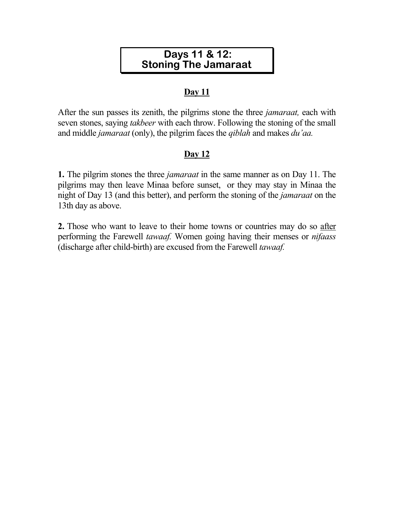#### Days 11 & 12: **Stoning The Jamaraat**

#### **Day 11**

After the sun passes its zenith, the pilgrims stone the three *jamaraat,* each with seven stones, saying *takbeer* with each throw. Following the stoning of the small and middle *jamaraat* (only), the pilgrim faces the *qiblah* and makes *du'aa.* 

#### **Day 12**

**1.** The pilgrim stones the three *jamaraat* in the same manner as on Day 11. The pilgrims may then leave Minaa before sunset, or they may stay in Minaa the night of Day 13 (and this better), and perform the stoning of the *jamaraat* on the 13th day as above.

**2.** Those who want to leave to their home towns or countries may do so after performing the Farewell *tawaaf.* Women going having their menses or *nifaass* (discharge after child-birth) are excused from the Farewell *tawaaf.*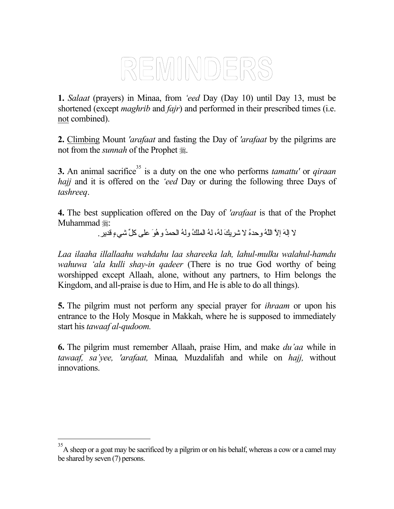# REMINDERS

**1.** *Salaat* (prayers) in Minaa, from *'eed* Day (Day 10) until Day 13, must be shortened (except *maghrib* and *fajr*) and performed in their prescribed times (i.e. not combined).

**2.** Climbing Mount *'arafaat* and fasting the Day of *'arafaat* by the pilgrims are not from the *sunnah* of the Prophet  $\ddot{\mathscr{E}}$ .

**3.** An animal sacrifice<sup>35</sup> is a duty on the one who performs *tamattu'* or *qiraan hajj* and it is offered on the *'eed* Day or during the following three Days of *tashreeq*.

**4.** The best supplication offered on the Day of *'arafaat* is that of the Prophet Muhammad #:

لا إلهَ إلاَّ اللهُ و حدهُ لا شریكَ لهُ، لهُ الملكُ و لهُ الحمدُ و هُوَ على كلِّ شيءٍ قدیر .

*Laa ilaaha illallaahu wahdahu laa shareeka lah, lahul-mulku walahul-hamdu wahuwa 'ala kulli shay-in qadeer* (There is no true God worthy of being worshipped except Allaah, alone, without any partners, to Him belongs the Kingdom, and all-praise is due to Him, and He is able to do all things).

**5.** The pilgrim must not perform any special prayer for *ihraam* or upon his entrance to the Holy Mosque in Makkah, where he is supposed to immediately start his *tawaaf al-qudoom.* 

**6.** The pilgrim must remember Allaah, praise Him, and make *du'aa* while in *tawaaf, sa'yee, 'arafaat,* Minaa*,* Muzdalifah and while on *hajj,* without innovations.

<span id="page-24-0"></span> $\frac{1}{35}$ A sheep or a goat may be sacrificed by a pilgrim or on his behalf, whereas a cow or a camel may be shared by seven (7) persons.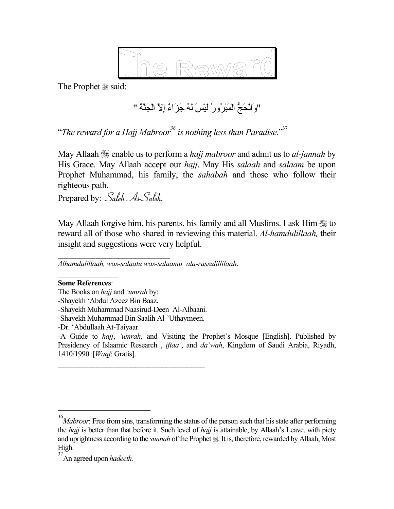

The Prophet  $\frac{1}{28}$  said:

"وَالْحَجَّ الْمَبْرُورُ لَيْسَ لَهُ جَزَاءٌ إِلاَّ الْجَنَّةُ "

"*The reward for a Hajj Mabroo[r36](#page-25-0) is nothing less than Paradise.*" [37](#page-25-1)

May Allaah  $\mathcal{L}$  enable us to perform a *hajj mabroor* and admit us to *al-jannah* by His Grace. May Allaah accept our *hajj*. May His *salaah* and *salaam* be upon Prophet Muhammad, his family, the *sahabah* and those who follow their righteous path.

Prepared by: *Saleh As-Saleh.* 

May Allaah forgive him, his parents, his family and all Muslims. I ask Him  $\frac{1}{100}$  to reward all of those who shared in reviewing this material. *Al-hamdulillaah,* their insight and suggestions were very helpful.

 $\overline{\phantom{a}}$  , which is a set of the set of the set of the set of the set of the set of the set of the set of the set of the set of the set of the set of the set of the set of the set of the set of the set of the set of th *Alhamdulillaah, was-salaatu was-salaamu 'ala-rassulillilaah*.

 $\mathcal{L}_\text{max}$ **Some References**:

The Books on *hajj* and *'umrah* by:

-Shayekh 'Abdul Azeez Bin Baaz.

-Shayekh Muhammad Naasirud-Deen Al-Albaani.

-Shayekh Muhammad Bin Saalih Al-'Uthaymeen.

 $\mathcal{L}_\text{max}$ 

-Dr. 'Abdullaah At-Taiyaar.

*-*A Guide to *hajj*, *'umrah*, and Visiting the Prophet's Mosque [English]. Published by Presidency of Islaamic Research , *iftaa'*, and *da'wah*, Kingdom of Saudi Arabia, Riyadh, 1410/1990. [*Waqf*: Gratis].

<span id="page-25-0"></span> $\frac{1}{36}$ *Mabroor*: Free from sins, transforming the status of the person such that his state after performing the *hajj* is better than that before it. Such level of *hajj* is attainable, by Allaah's Leave, with piety and uprightness according to the *sunnah* of the Prophet . It is, therefore, rewarded by Allaah, Most High.

<span id="page-25-1"></span><sup>37</sup> An agreed upon *hadeeth.*